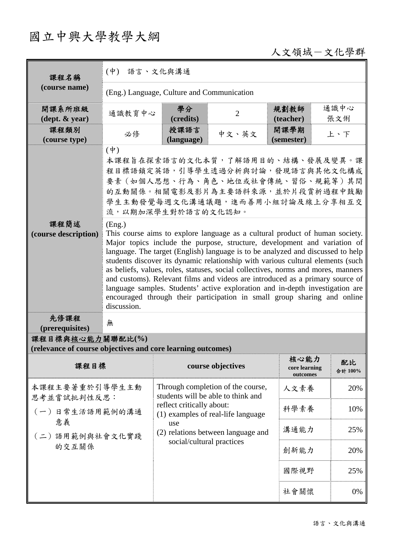# 國立中興大學教學大綱

# 人文領域-文化學群

| 課程名稱                                                                    | (中) 語言、文化與溝通                                                                                                                                                                                                                                                                                                                                                                                                                                                                                                                                                                                                                                                                                                                                                                                                             |                                                                                                                                                                                         |                   |                                   |               |  |
|-------------------------------------------------------------------------|--------------------------------------------------------------------------------------------------------------------------------------------------------------------------------------------------------------------------------------------------------------------------------------------------------------------------------------------------------------------------------------------------------------------------------------------------------------------------------------------------------------------------------------------------------------------------------------------------------------------------------------------------------------------------------------------------------------------------------------------------------------------------------------------------------------------------|-----------------------------------------------------------------------------------------------------------------------------------------------------------------------------------------|-------------------|-----------------------------------|---------------|--|
| (course name)                                                           | (Eng.) Language, Culture and Communication                                                                                                                                                                                                                                                                                                                                                                                                                                                                                                                                                                                                                                                                                                                                                                               |                                                                                                                                                                                         |                   |                                   |               |  |
| 開課系所班級<br>$(\text{dept.} \& \text{ year})$                              | 通識教育中心                                                                                                                                                                                                                                                                                                                                                                                                                                                                                                                                                                                                                                                                                                                                                                                                                   | 學分<br>(credits)                                                                                                                                                                         | $\overline{2}$    | 規劃教師<br>(teacher)                 | 通識中心<br>張文俐   |  |
| 課程類別<br>(course type)                                                   | 必修                                                                                                                                                                                                                                                                                                                                                                                                                                                                                                                                                                                                                                                                                                                                                                                                                       | 授課語言<br>(language)                                                                                                                                                                      | 中文、英文             | 開課學期<br>(semester)                | 上、下           |  |
| 課程簡述<br>(course description)                                            | $(\dagger)$<br>本課程旨在探索語言的文化本質,了解語用目的、結構、發展及變異。課<br>程目標語鎖定英語,引導學生透過分析與討論,發現語言與其他文化構成<br>要素(如個人思想、行為、角色、地位或社會傳統、習俗、規範等)其間<br>的互動關係。相關電影及影片為主要語料來源,並於片段賞析過程中鼓勵<br>學生主動發覺每週文化溝通議題,進而善用小組討論及線上分享相互交<br>流,以期加深學生對於語言的文化認知。<br>(Eng.)<br>This course aims to explore language as a cultural product of human society.<br>Major topics include the purpose, structure, development and variation of<br>language. The target (English) language is to be analyzed and discussed to help<br>students discover its dynamic relationship with various cultural elements (such<br>as beliefs, values, roles, statuses, social collectives, norms and mores, manners<br>and customs). Relevant films and videos are introduced as a primary source of<br>language samples. Students' active exploration and in-depth investigation are |                                                                                                                                                                                         |                   |                                   |               |  |
| 先修課程                                                                    | encouraged through their participation in small group sharing and online<br>discussion.<br>無                                                                                                                                                                                                                                                                                                                                                                                                                                                                                                                                                                                                                                                                                                                             |                                                                                                                                                                                         |                   |                                   |               |  |
| (prerequisites)<br>課程目標與核心能力關聯配比(%)                                     |                                                                                                                                                                                                                                                                                                                                                                                                                                                                                                                                                                                                                                                                                                                                                                                                                          |                                                                                                                                                                                         |                   |                                   |               |  |
| (relevance of course objectives and core learning outcomes)             |                                                                                                                                                                                                                                                                                                                                                                                                                                                                                                                                                                                                                                                                                                                                                                                                                          |                                                                                                                                                                                         |                   |                                   |               |  |
| 課程目標                                                                    |                                                                                                                                                                                                                                                                                                                                                                                                                                                                                                                                                                                                                                                                                                                                                                                                                          |                                                                                                                                                                                         | course objectives | 核心能力<br>core learning<br>outcomes | 配比<br>合計 100% |  |
| 本課程主要著重於引導學生主動<br>思考並嘗試批判性反思:<br>(一)日常生活語用範例的溝通<br>意義<br>(二)語用範例與社會文化實踐 |                                                                                                                                                                                                                                                                                                                                                                                                                                                                                                                                                                                                                                                                                                                                                                                                                          | Through completion of the course,<br>students will be able to think and<br>reflect critically about:<br>(1) examples of real-life language<br>use<br>(2) relations between language and | 人文素養              | 20%                               |               |  |
|                                                                         |                                                                                                                                                                                                                                                                                                                                                                                                                                                                                                                                                                                                                                                                                                                                                                                                                          |                                                                                                                                                                                         | 科學素養              | 10%                               |               |  |
|                                                                         |                                                                                                                                                                                                                                                                                                                                                                                                                                                                                                                                                                                                                                                                                                                                                                                                                          |                                                                                                                                                                                         | 溝通能力              | 25%                               |               |  |
| 的交互關係                                                                   |                                                                                                                                                                                                                                                                                                                                                                                                                                                                                                                                                                                                                                                                                                                                                                                                                          | social/cultural practices                                                                                                                                                               | 創新能力              | 20%                               |               |  |
|                                                                         |                                                                                                                                                                                                                                                                                                                                                                                                                                                                                                                                                                                                                                                                                                                                                                                                                          |                                                                                                                                                                                         |                   | 國際視野                              | 25%           |  |
|                                                                         |                                                                                                                                                                                                                                                                                                                                                                                                                                                                                                                                                                                                                                                                                                                                                                                                                          |                                                                                                                                                                                         |                   | 社會關懷                              | 0%            |  |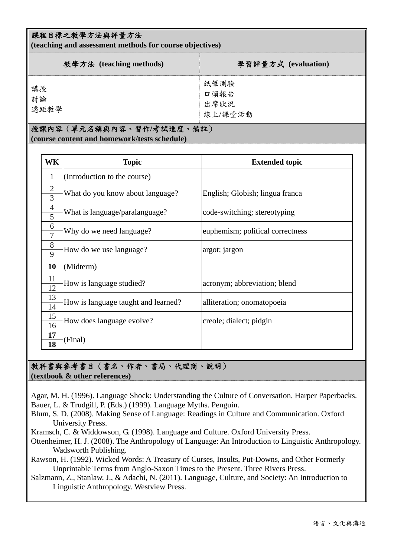#### 課程目標之教學方法與評量方法

**(teaching and assessment methods for course objectives)** 

| 教學方法 (teaching methods) | 學習評量方式 (evaluation)             |
|-------------------------|---------------------------------|
| 講授<br>計論<br>遠距教學        | 紙筆測驗<br>口頭報告<br>出席狀況<br>線上/課堂活動 |

# 授課內容(單元名稱與內容、習作**/**考試進度、備註)

**(course content and homework/tests schedule)** 

| WK                             | <b>Topic</b>                        | <b>Extended topic</b>            |  |
|--------------------------------|-------------------------------------|----------------------------------|--|
| 1                              | (Introduction to the course)        |                                  |  |
| $\mathbf{2}$<br>$\overline{3}$ | What do you know about language?    | English; Globish; lingua franca  |  |
| $\overline{4}$<br>5            | What is language/paralanguage?      | code-switching; stereotyping     |  |
| 6<br>$\overline{7}$            | Why do we need language?            | euphemism; political correctness |  |
| 8<br>9                         | How do we use language?             | argot; jargon                    |  |
| 10                             | (Midterm)                           |                                  |  |
| 11<br>12                       | How is language studied?            | acronym; abbreviation; blend     |  |
| 13<br>14                       | How is language taught and learned? | alliteration; onomatopoeia       |  |
| 15<br>16                       | How does language evolve?           | creole; dialect; pidgin          |  |
| 17<br>18                       | (Final)                             |                                  |  |

#### 教科書與參考書目(書名、作者、書局、代理商、說明) **(textbook & other references)**

Agar, M. H. (1996). Language Shock: Understanding the Culture of Conversation. Harper Paperbacks. Bauer, L. & Trudgill, P. (Eds.) (1999). Language Myths. Penguin.

Blum, S. D. (2008). Making Sense of Language: Readings in Culture and Communication. Oxford University Press.

Kramsch, C. & Widdowson, G. (1998). Language and Culture. Oxford University Press.

Ottenheimer, H. J. (2008). The Anthropology of Language: An Introduction to Linguistic Anthropology. Wadsworth Publishing.

Rawson, H. (1992). Wicked Words: A Treasury of Curses, Insults, Put-Downs, and Other Formerly Unprintable Terms from Anglo-Saxon Times to the Present. Three Rivers Press.

Salzmann, Z., Stanlaw, J., & Adachi, N. (2011). Language, Culture, and Society: An Introduction to Linguistic Anthropology. Westview Press.